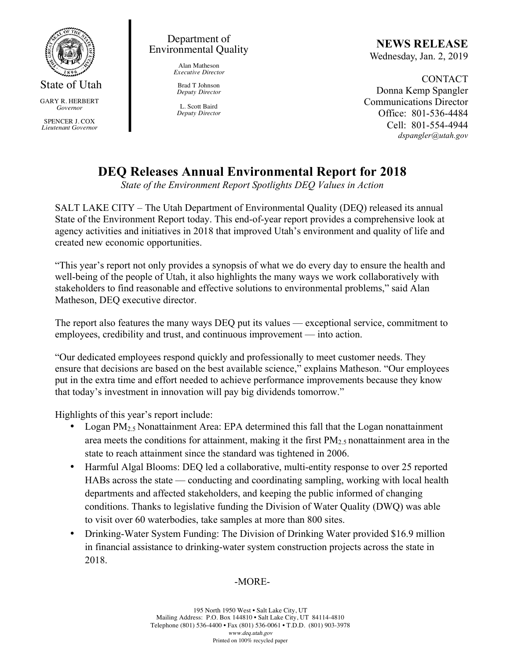

GARY R. HERBERT *Governor*

SPENCER J. COX *Lieutenant Governor*

### Department of Environmental Quality

Alan Matheson *Executive Director*

Brad T Johnson *Deputy Director*

L. Scott Baird *Deputy Director*

# **NEWS RELEASE**

Wednesday, Jan. 2, 2019

CONTACT Donna Kemp Spangler Communications Director Office: 801-536-4484 Cell: 801-554-4944 *dspangler@utah.gov*

## **DEQ Releases Annual Environmental Report for 2018**

*State of the Environment Report Spotlights DEQ Values in Action*

SALT LAKE CITY – The Utah Department of Environmental Quality (DEQ) released its annual State of the Environment Report today. This end-of-year report provides a comprehensive look at agency activities and initiatives in 2018 that improved Utah's environment and quality of life and created new economic opportunities.

"This year's report not only provides a synopsis of what we do every day to ensure the health and well-being of the people of Utah, it also highlights the many ways we work collaboratively with stakeholders to find reasonable and effective solutions to environmental problems," said Alan Matheson, DEQ executive director.

The report also features the many ways DEQ put its values — exceptional service, commitment to employees, credibility and trust, and continuous improvement — into action.

"Our dedicated employees respond quickly and professionally to meet customer needs. They ensure that decisions are based on the best available science," explains Matheson. "Our employees put in the extra time and effort needed to achieve performance improvements because they know that today's investment in innovation will pay big dividends tomorrow."

Highlights of this year's report include:

- Logan PM<sub>2.5</sub> Nonattainment Area: EPA determined this fall that the Logan nonattainment area meets the conditions for attainment, making it the first  $PM_{2.5}$  nonattainment area in the state to reach attainment since the standard was tightened in 2006.
- Harmful Algal Blooms: DEQ led a collaborative, multi-entity response to over 25 reported HABs across the state — conducting and coordinating sampling, working with local health departments and affected stakeholders, and keeping the public informed of changing conditions. Thanks to legislative funding the Division of Water Quality (DWQ) was able to visit over 60 waterbodies, take samples at more than 800 sites.
- Drinking-Water System Funding: The Division of Drinking Water provided \$16.9 million in financial assistance to drinking-water system construction projects across the state in 2018.

### -MORE-